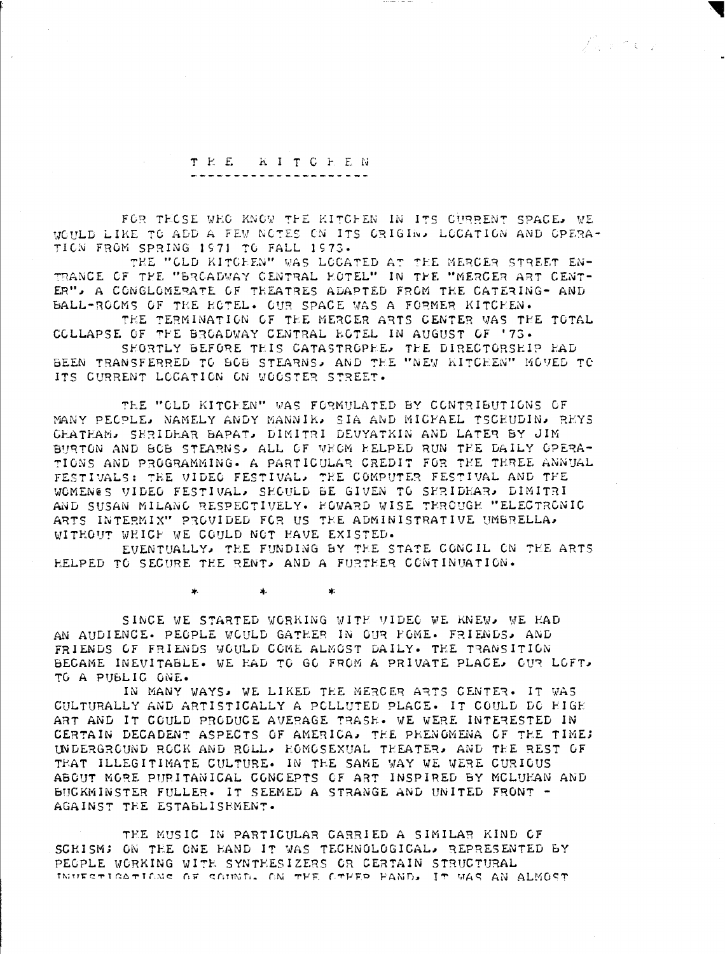ズンドマン

## TEE KITCEEN

FOR TECSE WEG KNOW THE KITCHEN IN ITS CURRENT SPACE, WE WOULD LIKE TO ADD A FEW NOTES ON ITS ORIGIN. LOCATION AND OPERA-TION FROM SPRING 1971 TO FALL 1973.

THE "CLD KITCEEN" WAS LOCATED AT THE MERCER STREET EN-TRANCE OF THE "BROADWAY CENTRAL HOTEL" IN THE "MERCER ART CENT-ER", A CONGLOMERATE OF THEATRES ADAPTED FROM THE CATERING- AND BALL-ROOMS OF THE HOTEL. OUR SPACE WAS A FORMER KITCHEN.

THE TERMINATION OF THE MERCER ARTS CENTER WAS THE TOTAL COLLAPSE OF THE BROADWAY CENTRAL ECTEL IN AUGUST OF '73.

SHORTLY BEFORE THIS CATASTROPHE. THE DIRECTORSHIP HAD BEEN TRANSFERRED TO BOB STEARNS, AND THE "NEW KITCHEN" MOVED TO ITS CURRENT LOCATION ON WOOSTER STREET.

THE "CLD KITCHEN" WAS FORMULATED BY CONTRIBUTIONS OF MANY PECPLE, NAMELY ANDY MANNIK, SIA AND MICFAEL TSCEUDIN, REYS CHATHAM, SERIDHAR BAPAT, DIMITRI DEVYATKIN AND LATER BY JIM BURTON AND BOB STEARNS. ALL OF WHOM RELPED RUN THE DAILY OPERA-TIONS AND PROGRAMMING. A PARTICULAR CREDIT FOR THE TEREE ANNUAL FESTIVALS: THE VIDEG FESTIVAL. THE COMPUTER FESTIVAL AND THE WOMENES VIDEO FESTIVAL, SHOULD BE GIVEN TO SERIDHAR, DIMITRI AND SUSAN MILANG RESPECTIVELY. HOWARD WISE TEROUGH "ELECTRONIC ARTS INTERMIX" PROVIDED FOR US THE ADMINISTRATIVE UMBRELLA. WITHOUT WHICH WE COULD NOT HAVE EXISTED.

EVENTUALLY, THE FUNDING BY THE STATE CONCIL ON THE ARTS HELPED TO SECURE THE RENT. AND A FURTHER CONTINUATION.

> $\star$  $\ast$ ∗.

SINCE WE STARTED WORKING WITH VIDEO WE KNEW, WE HAD AN AUDIENCE. PEOPLE WOULD GATHER IN OUR POME. FRIENDS. AND FRIENDS OF FRIENDS WOULD COME ALMOST DAILY. THE TRANSITION BECAME INEVITABLE. WE HAD TO GO FROM A PRIVATE PLACE. OUR LOFT. TO A PUBLIC ONE.

IN MANY WAYS, WE LIKED THE MERCER ARTS CENTER. IT WAS CULTURALLY AND ARTISTICALLY A PCLLUTED PLACE. IT COULD DC HIGH ART AND IT COULD PRODUCE AVERAGE TRASE. WE WERE INTERESTED IN CERTAIN DECADENT ASPECTS OF AMERICA. THE PHENOMENA OF THE TIME: UNDERGROUND ROCK AND ROLL, HOMOSEXUAL THEATER, AND THE REST OF THAT ILLEGITIMATE CULTURE. IN THE SAME WAY WE WERE CURICUS ABOUT MORE PURITANICAL CONCEPTS OF ART INSPIRED BY MCLUKAN AND BUCKMINSTER FULLER. IT SEEMED A STRANGE AND UNITED FRONT -AGAINST THE ESTABLISHMENT.

THE MUSIC IN PARTICULAR CARRIED A SIMILAR KIND OF SCRISM; ON THE ONE HAND IT WAS TECHNOLOGICAL, REPRESENTED BY PEGPLE WORKING WITH SYNTHESIZERS OR CERTAIN STRUCTURAL INUESTIGATIONS OF SOUND. ON THE OTHER HAND, IT WAS AN ALMOST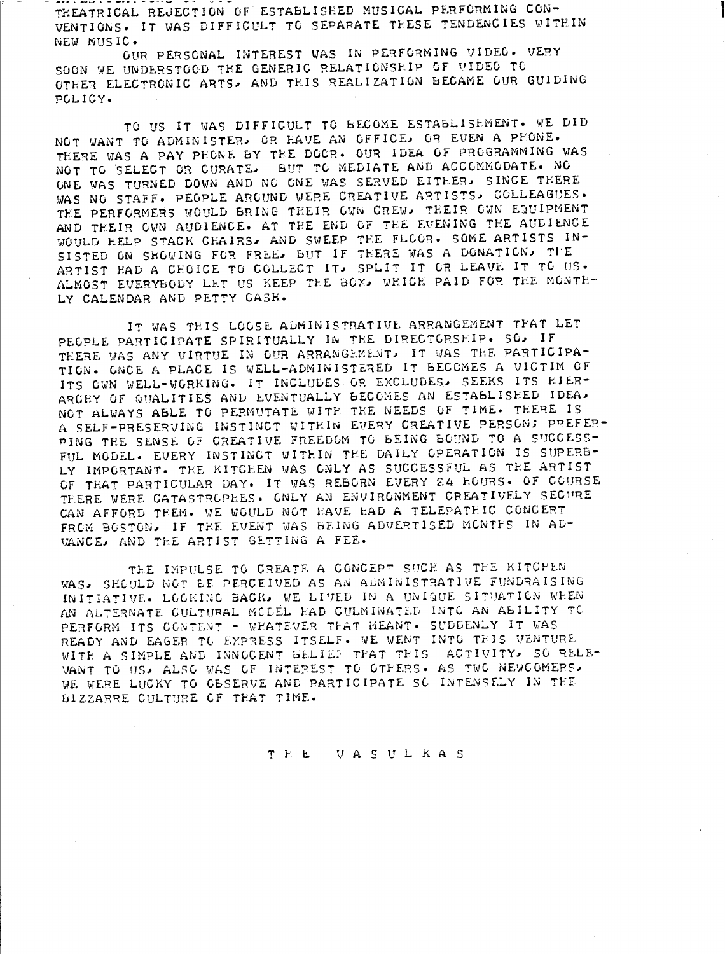--- , --- 1 - --- . - - - -THEATRICAL REJECTION OF ESTABLISHED MUSICAL PERFORMING CON-VENTIONS. IT WAS DIFFICULT TO SEPARATE THESE TENDENCIES WITHIN NEW MUSIC-

OUR PERSONAL INTEREST WAS IN PERFORMING VIDEO. VERY SOON WE UNDERSTOOD THE GENERIC RELATIONSHIP OF VIDEO TO OTHER ELECTRONIC ARTS, AND THIS REALIZATION BECAME OUR GUIDING POLICY-

TO US IT WAS DIFFICULT TO BECOME ESTABLISEMENT. WE DID NOT WANT TO ADMINISTER, OR HAVE AN OFFICE, OR EVEN A PHONE. THERE WAS A PAY PHONE BY THE DOOR. OUR IDEA OF PROGRAMMING WAS NOT TO SELECT OR CURATE, BUT TO MEDIATE AND ACCOMMODATE. NO ONE WAS TURNED DOWN AND NO ONE WAS SERVED EITHER, SINCE THERE WAS NO STAFF. PEOPLE AROUND WERE CREATIVE ARTISTS, COLLEAGUES. TEE PERFORMERS WOULD BRING THEIR OWN CREW, THEIR OWN EQUIPMENT AND THEIR OWN AUDIENCE. AT THE END OF THE EVENING THE AUDIENCE WOULD HELP STACK CFAIRSo AND SWEEP TEE FLOOR- SOME ARTISTS IN-SISTED ON SHOWING FOR FREE, BUT IF THERE WAS A DONATION, THE ARTIST FAD A CHOICE TO COLLECT IT. SPLIT IT OR LEAVE IT TO US. ALMOST EVERYBODY LET US KEEP THE BOX, WHICH PAID FOR THE MONTH-LY CALENDAR AND PETTY CASH.

IT WAS THIS LOOSE ADMINISTRATIVE ARRANGEMENT THAT LET PEOPLE PARTICIPATE SPIRITUALLY IN THE DIRECTORSHIP. SO, IF THERE WAS ANY VIRTUE IN OUR ARRANGEMENT, IT WAS THE PARTICIPA-TION . ONCE A PLACE IS WELL-ADMINISTERED IT BECOMES A VICTIM OF ITS OWN WELL-WORKING. IT INCLUDES OR EXCLUDES. SEEKS ITS EIER-ARCRY OF QUALITIES AND EVENTUALLY BECOMES AN ESTABLISHED IDEA. NOT ALWAYS ABLE TO PERMUTATE WITH THE NEEDS OF TIME. THERE IS A SELF-PRESERVING INSTINCT WITHIN EVERY CREATIVE PERSON; PREFER-PING THE SENSE OF CREATIVE FREEDOM TO BEING BOUND TO A SUCCESS-FUL MODEL. EVERY INSTINCT WITHIN THE DAILY OPERATION IS SUPERB-LY IMPORTANT. THE KITCHEN WAS ONLY AS SUCCESSFUL AS THE ARTIST OF THAT PARTICULAR DAY. IT WAS REBORN EVERY 24 EGURS. OF COURSE THERE WERE CATASTROPHES. ONLY AN ENVIRONMENT CREATIVELY SECURE CAN AFFORD THEM. WE WOULD NOT HAVE HAD A TELEPATHIC CONCERT FROM BOSTON, IF THE EVENT WAS BEING ADVERTISED MCNTFS IN AD-VANCE, AND THE ARTIST GETTING A FEE.

TEE IMPULSE TO CREATE A CONCEPT SUCH AS THE KITCHEN WAS, SECULD NOT BE PERCEIVED AS AN ADMINISTRATIVE FUNDRAISING INITIATIVE. LOCKING BACK, WE LIVED IN A UNIQUE SITUATION WEEN AN ALTERNATE CULTURAL MODEL HAD CULMINATED INTO AN ABILITY TO PERFORM ITS CONTENT - WEATEVER THAT MEANT. SUDDENLY IT WAS READY AND EAGER TO EXPRESS ITSELF. WE WENT INTO THIS VENTURE WITE A SIMPLE AND INNOGENT BELIEF THAT THIS ACTIVITY, SO RELE-VANT TO US, ALSO WAS OF INTEREST TO OTHERS. AS TWO NEWCOMERS, WE WERE LUCKY TO GBSERVE AND PARTICIPATE SC INTENSELY IN THE BIZZARRE CULTURE OF THAT TIME.

T E U A S U L K A S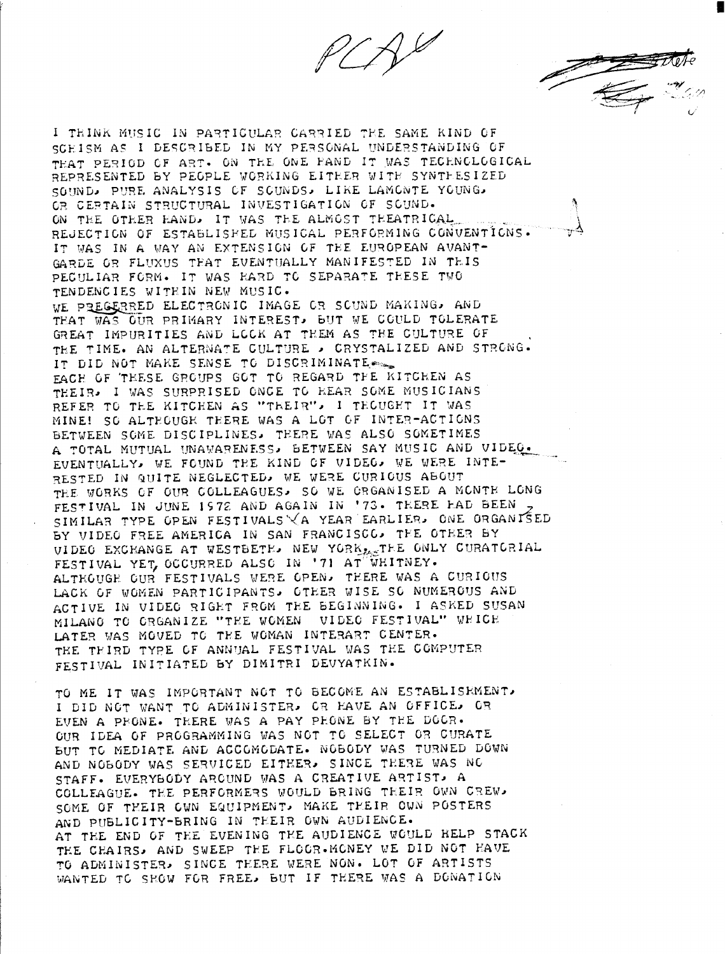

SCHISM AS I DESCRIBED IN MY PERSONAL UNDERSTANDING OF THAT PERIOD OF ART. ON THE ONE PAND IT WAS TECHNOLOGICAL REPRESENTED BY PEGPLE WORKING EITHER WITH SYNTHESIZED SOUND, PURE ANALYSIS OF SCUNDS, LIKE LAMONTE YOUNG. OR CERTAIN STRUCTURAL INVESTIGATION OF SOUND. ON THE OTHER HAND. IT WAS THE ALMOST THEATRICAL REJECTION OF ESTABLISHED MUSICAL PERFORMING CONVENTIONS. IT WAS IN A WAY AN EXTENSION OF THE EUROPEAN AVANT-GARDE OR FLUXUS TEAT EVENTUALLY MANIFESTED IN TEIS PECULIAR FORM. IT WAS HARD TO SEPARATE THESE TWO TENDENCIES WITHIN NEW MUSIC. WE PREGERRED ELECTRONIC IMAGE OR SOUND MAKING, AND THAT WAS GUR PRIMARY INTEREST, BUT WE COULD TOLERATE GREAT IMPURITIES AND LOCK AT THEM AS THE CULTURE OF THE TIME. AN ALTERNATE CULTURE . CRYSTALIZED AND STRONG. IT DID NOT MAKE SENSE TO DISCRIMINATE EACH OF TEESE GROUPS GOT TO REGARD THE KITCHEN AS THEIR. I WAS SURPRISED ONCE TO HEAR SOME MUSICIANS REFER TO THE KITCHEN AS "THEIR", I TECUGHT IT WAS MINE! SO ALTEGUGE TEERE WAS A LOT OF INTER-ACTIONS BETWEEN SOME DISCIPLINES. THERE WAS ALSO SOMETIMES A TOTAL MUTUAL UNAVARENESS, BETWEEN SAY MUSIC AND VIDEO. EVENTUALLY, WE FOUND THE KIND OF VIDEO, WE WERE INTE-RESTED IN QUITE NEGLECTED, WE WERE CURICUS ABOUT THE WORKS OF OUR COLLEAGUES. SO WE CRGANISED A MONTH LONG FESTIVAL IN JUNE 1972 AND AGAIN IN '73. THERE FAD BEEN SIMILAR TYPE OPEN FESTIVALS VA YEAR EARLIER. ONE ORGANISED BY VIDEO FREE AMERICA IN SAN FRANCISCO, THE OTHER BY VIDEO EXCHANGE AT WESTBETH. NEW YORK LETHE ONLY CURATORIAL FESTIVAL YET, OCCURRED ALSO IN '71 AT WHITNEY. ALTEGUGE CUR FESTIVALS WERE OPEN. THERE WAS A CURIOUS LACK OF WOMEN PARTICIPANTS, OTHER WISE SO NUMEROUS AND ACTIVE IN VIDEO RIGHT FROM THE BEGINNING. I ASKED SUSAN MILANG TO ORGANIZE "THE WOMEN VIDEO FESTIVAL" WHICH LATER WAS MOVED TO THE WOMAN INTERART CENTER. THE THIRD TYPE OF ANNUAL FESTIVAL WAS THE COMPUTER FESTIVAL INITIATED BY DIMITRI DEUYATKIN.

I THINK MUSIC IN PARTICULAR CARRIED THE SAME KIND OF

TO ME IT WAS IMPORTANT NOT TO BECOME AN ESTABLISHMENT. I DID NOT WANT TO ADMINISTER. OR HAVE AN OFFICE. OR EVEN A PHONE. THERE WAS A PAY PHONE BY THE DOOR. GUR IDEA OF PROGRAMMING WAS NOT TO SELECT OR CURATE BUT TO MEDIATE AND ACCOMODATE. NOBODY WAS TURNED DOWN AND NOBODY WAS SERVICED EITHER. SINCE THERE WAS NO STAFF. EVERYBODY ARCUND WAS A CREATIVE ARTIST. A COLLEAGUE. THE PERFORMERS WOULD BRING THEIR OWN CREW. SOME OF THEIR OWN EQUIPMENT, MAKE THEIR OWN POSTERS AND PUBLICITY-BRING IN THEIR GWN AUDIENCE. AT THE END OF THE EVENING THE AUDIENCE WOULD HELP STACK THE CHAIRS. AND SWEEP THE FLOCR.MONEY WE DID NOT HAVE TO ADMINISTER, SINCE THERE WERE NON. LOT OF ARTISTS WANTED TO SHOW FOR FREE. BUT IF THERE WAS A DONATION